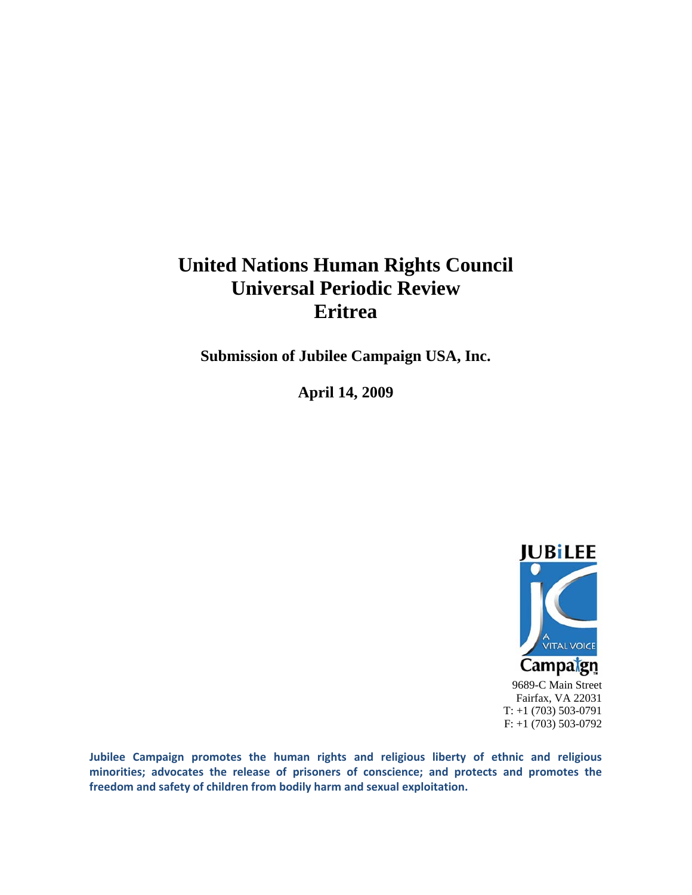# **United Nations Human Rights Council Universal Periodic Review Eritrea**

**Submission of Jubilee Campaign USA, Inc.** 

**April 14, 2009** 



9689-C Main Street Fairfax, VA 22031 T: +1 (703) 503-0791 F: +1 (703) 503-0792

**Jubilee Campaign promotes the human rights and religious liberty of ethnic and religious minorities; advocates the release of prisoners of conscience; and protects and promotes the freedom and safety of children from bodily harm and sexual exploitation.**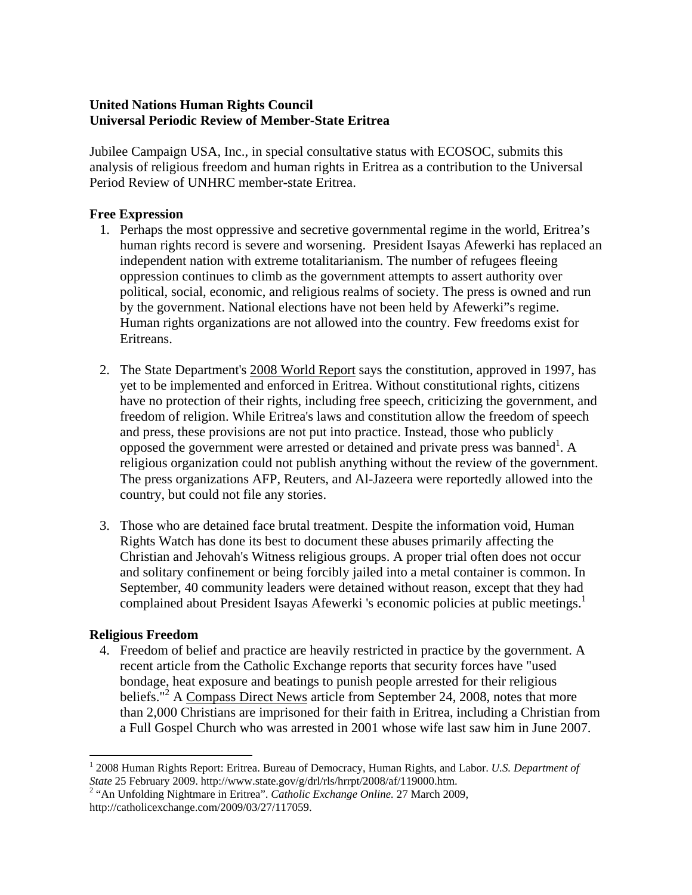## **United Nations Human Rights Council Universal Periodic Review of Member-State Eritrea**

Jubilee Campaign USA, Inc., in special consultative status with ECOSOC, submits this analysis of religious freedom and human rights in Eritrea as a contribution to the Universal Period Review of UNHRC member-state Eritrea.

## **Free Expression**

- 1. Perhaps the most oppressive and secretive governmental regime in the world, Eritrea's human rights record is severe and worsening. President Isayas Afewerki has replaced an independent nation with extreme totalitarianism. The number of refugees fleeing oppression continues to climb as the government attempts to assert authority over political, social, economic, and religious realms of society. The press is owned and run by the government. National elections have not been held by Afewerki"s regime. Human rights organizations are not allowed into the country. Few freedoms exist for Eritreans.
- 2. The State Department's 2008 World Report says the constitution, approved in 1997, has yet to be implemented and enforced in Eritrea. Without constitutional rights, citizens have no protection of their rights, including free speech, criticizing the government, and freedom of religion. While Eritrea's laws and constitution allow the freedom of speech and press, these provisions are not put into practice. Instead, those who publicly opposed the government were arrested or detained and private press was banned<sup>1</sup>. A religious organization could not publish anything without the review of the government. The press organizations AFP, Reuters, and Al-Jazeera were reportedly allowed into the country, but could not file any stories.
- 3. Those who are detained face brutal treatment. Despite the information void, Human Rights Watch has done its best to document these abuses primarily affecting the Christian and Jehovah's Witness religious groups. A proper trial often does not occur and solitary confinement or being forcibly jailed into a metal container is common. In September, 40 community leaders were detained without reason, except that they had complained about President Isayas Afewerki 's economic policies at public meetings.<sup>1</sup>

## **Religious Freedom**

 $\overline{a}$ 

4. Freedom of belief and practice are heavily restricted in practice by the government. A recent article from the Catholic Exchange reports that security forces have "used bondage, heat exposure and beatings to punish people arrested for their religious beliefs."<sup>2</sup> A Compass Direct News article from September 24, 2008, notes that more than 2,000 Christians are imprisoned for their faith in Eritrea, including a Christian from a Full Gospel Church who was arrested in 2001 whose wife last saw him in June 2007.

<sup>1</sup> 2008 Human Rights Report: Eritrea. Bureau of Democracy, Human Rights, and Labor. *U.S. Department of State* 25 February 2009. http://www.state.gov/g/drl/rls/hrrpt/2008/af/119000.htm. 2

<sup>&</sup>lt;sup>2</sup> "An Unfolding Nightmare in Eritrea". *Catholic Exchange Online*. 27 March 2009, http://catholicexchange.com/2009/03/27/117059.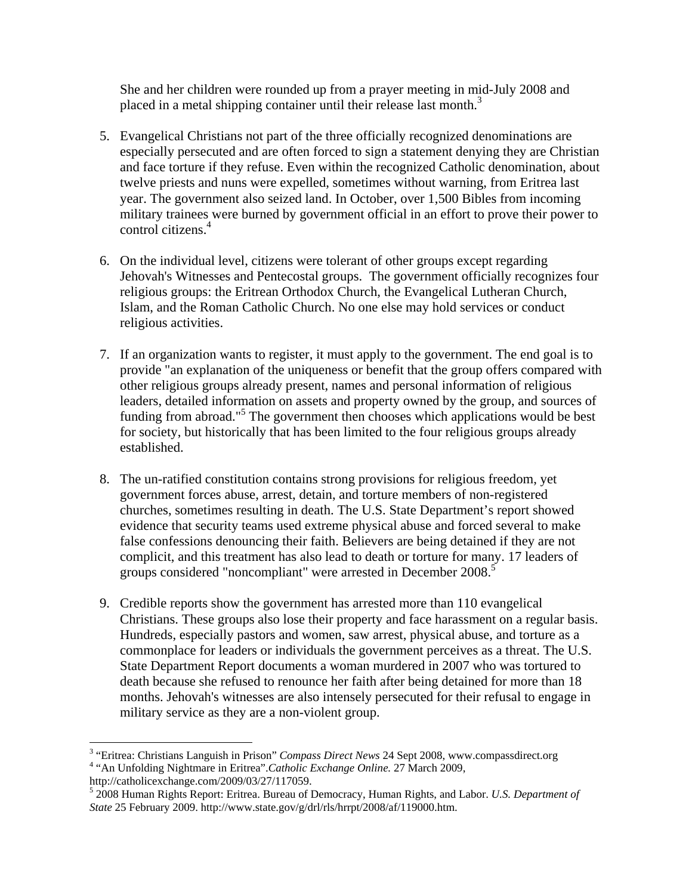She and her children were rounded up from a prayer meeting in mid-July 2008 and placed in a metal shipping container until their release last month.<sup>3</sup>

- 5. Evangelical Christians not part of the three officially recognized denominations are especially persecuted and are often forced to sign a statement denying they are Christian and face torture if they refuse. Even within the recognized Catholic denomination, about twelve priests and nuns were expelled, sometimes without warning, from Eritrea last year. The government also seized land. In October, over 1,500 Bibles from incoming military trainees were burned by government official in an effort to prove their power to control citizens.<sup>4</sup>
- 6. On the individual level, citizens were tolerant of other groups except regarding Jehovah's Witnesses and Pentecostal groups. The government officially recognizes four religious groups: the Eritrean Orthodox Church, the Evangelical Lutheran Church, Islam, and the Roman Catholic Church. No one else may hold services or conduct religious activities.
- 7. If an organization wants to register, it must apply to the government. The end goal is to provide "an explanation of the uniqueness or benefit that the group offers compared with other religious groups already present, names and personal information of religious leaders, detailed information on assets and property owned by the group, and sources of funding from abroad."<sup>5</sup> The government then chooses which applications would be best for society, but historically that has been limited to the four religious groups already established.
- 8. The un-ratified constitution contains strong provisions for religious freedom, yet government forces abuse, arrest, detain, and torture members of non-registered churches, sometimes resulting in death. The U.S. State Department's report showed evidence that security teams used extreme physical abuse and forced several to make false confessions denouncing their faith. Believers are being detained if they are not complicit, and this treatment has also lead to death or torture for many. 17 leaders of groups considered "noncompliant" were arrested in December 2008.<sup>5</sup>
- 9. Credible reports show the government has arrested more than 110 evangelical Christians. These groups also lose their property and face harassment on a regular basis. Hundreds, especially pastors and women, saw arrest, physical abuse, and torture as a commonplace for leaders or individuals the government perceives as a threat. The U.S. State Department Report documents a woman murdered in 2007 who was tortured to death because she refused to renounce her faith after being detained for more than 18 months. Jehovah's witnesses are also intensely persecuted for their refusal to engage in military service as they are a non-violent group.

 $\overline{a}$ 

<sup>&</sup>lt;sup>3</sup> "Eritrea: Christians Languish in Prison" *Compass Direct News* 24 Sept 2008, www.compassdirect.org<br><sup>4</sup> "An Unfolding Nightmara in Fritrea" *Catholia Exchange Online*, 27 March 2000 "An Unfolding Nightmare in Eritrea".*Catholic Exchange Online.* 27 March 2009,

http://catholicexchange.com/2009/03/27/117059.

<sup>5</sup> 2008 Human Rights Report: Eritrea. Bureau of Democracy, Human Rights, and Labor. *U.S. Department of State* 25 February 2009. http://www.state.gov/g/drl/rls/hrrpt/2008/af/119000.htm.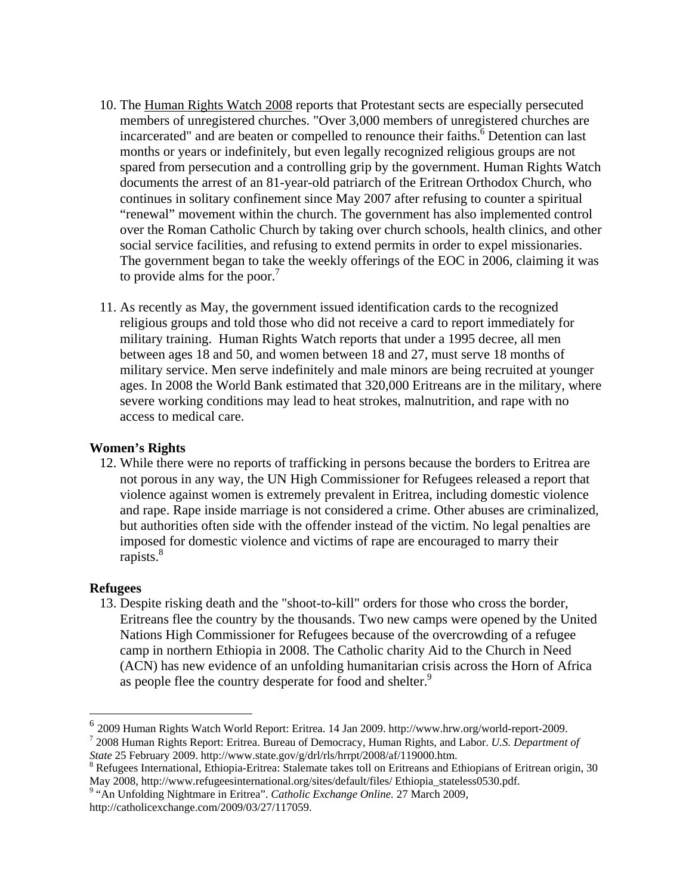- 10. The Human Rights Watch 2008 reports that Protestant sects are especially persecuted members of unregistered churches. "Over 3,000 members of unregistered churches are incarcerated" and are beaten or compelled to renounce their faiths.<sup>6</sup> Detention can last months or years or indefinitely, but even legally recognized religious groups are not spared from persecution and a controlling grip by the government. Human Rights Watch documents the arrest of an 81-year-old patriarch of the Eritrean Orthodox Church, who continues in solitary confinement since May 2007 after refusing to counter a spiritual "renewal" movement within the church. The government has also implemented control over the Roman Catholic Church by taking over church schools, health clinics, and other social service facilities, and refusing to extend permits in order to expel missionaries. The government began to take the weekly offerings of the EOC in 2006, claiming it was to provide alms for the poor.<sup>7</sup>
- 11. As recently as May, the government issued identification cards to the recognized religious groups and told those who did not receive a card to report immediately for military training. Human Rights Watch reports that under a 1995 decree, all men between ages 18 and 50, and women between 18 and 27, must serve 18 months of military service. Men serve indefinitely and male minors are being recruited at younger ages. In 2008 the World Bank estimated that 320,000 Eritreans are in the military, where severe working conditions may lead to heat strokes, malnutrition, and rape with no access to medical care.

## **Women's Rights**

12. While there were no reports of trafficking in persons because the borders to Eritrea are not porous in any way, the UN High Commissioner for Refugees released a report that violence against women is extremely prevalent in Eritrea, including domestic violence and rape. Rape inside marriage is not considered a crime. Other abuses are criminalized, but authorities often side with the offender instead of the victim. No legal penalties are imposed for domestic violence and victims of rape are encouraged to marry their rapists.<sup>8</sup>

## **Refugees**

 $\overline{a}$ 

13. Despite risking death and the "shoot-to-kill" orders for those who cross the border, Eritreans flee the country by the thousands. Two new camps were opened by the United Nations High Commissioner for Refugees because of the overcrowding of a refugee camp in northern Ethiopia in 2008. The Catholic charity Aid to the Church in Need (ACN) has new evidence of an unfolding humanitarian crisis across the Horn of Africa as people flee the country desperate for food and shelter.<sup>9</sup>

<sup>6</sup> 2009 Human Rights Watch World Report: Eritrea. 14 Jan 2009. http://www.hrw.org/world-report-2009. 7 2008 Human Rights Report: Eritrea. Bureau of Democracy, Human Rights, and Labor. *U.S. Department of State* 25 February 2009. http://www.state.gov/g/drl/rls/hrrpt/2008/af/119000.htm. 8

<sup>&</sup>lt;sup>8</sup> Refugees International, Ethiopia-Eritrea: Stalemate takes toll on Eritreans and Ethiopians of Eritrean origin, 30 May 2008, http://www.refugeesinternational.org/sites/default/files/ Ethiopia\_stateless0530.pdf.

<sup>&</sup>lt;sup>9</sup> "An Unfolding Nightmare in Eritrea". *Catholic Exchange Online*. 27 March 2009, http://catholicexchange.com/2009/03/27/117059.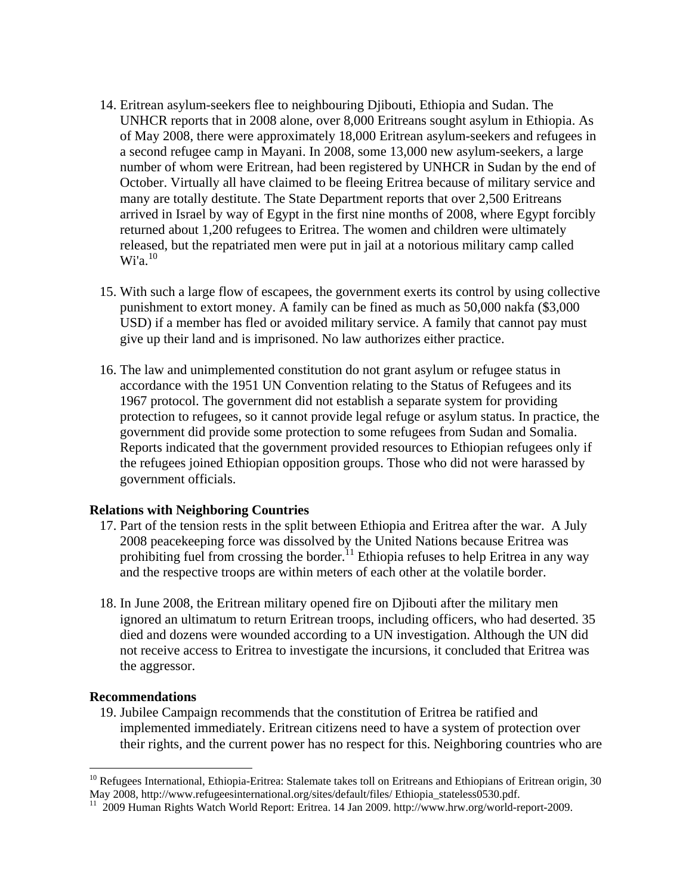- 14. Eritrean asylum-seekers flee to neighbouring Djibouti, Ethiopia and Sudan. The UNHCR reports that in 2008 alone, over 8,000 Eritreans sought asylum in Ethiopia. As of May 2008, there were approximately 18,000 Eritrean asylum-seekers and refugees in a second refugee camp in Mayani. In 2008, some 13,000 new asylum-seekers, a large number of whom were Eritrean, had been registered by UNHCR in Sudan by the end of October. Virtually all have claimed to be fleeing Eritrea because of military service and many are totally destitute. The State Department reports that over 2,500 Eritreans arrived in Israel by way of Egypt in the first nine months of 2008, where Egypt forcibly returned about 1,200 refugees to Eritrea. The women and children were ultimately released, but the repatriated men were put in jail at a notorious military camp called  $Wi'a.$ <sup>10</sup>
- 15. With such a large flow of escapees, the government exerts its control by using collective punishment to extort money. A family can be fined as much as 50,000 nakfa (\$3,000 USD) if a member has fled or avoided military service. A family that cannot pay must give up their land and is imprisoned. No law authorizes either practice.
- 16. The law and unimplemented constitution do not grant asylum or refugee status in accordance with the 1951 UN Convention relating to the Status of Refugees and its 1967 protocol. The government did not establish a separate system for providing protection to refugees, so it cannot provide legal refuge or asylum status. In practice, the government did provide some protection to some refugees from Sudan and Somalia. Reports indicated that the government provided resources to Ethiopian refugees only if the refugees joined Ethiopian opposition groups. Those who did not were harassed by government officials.

## **Relations with Neighboring Countries**

- 17. Part of the tension rests in the split between Ethiopia and Eritrea after the war. A July 2008 peacekeeping force was dissolved by the United Nations because Eritrea was prohibiting fuel from crossing the border.<sup>11</sup> Ethiopia refuses to help Eritrea in any way and the respective troops are within meters of each other at the volatile border.
- 18. In June 2008, the Eritrean military opened fire on Djibouti after the military men ignored an ultimatum to return Eritrean troops, including officers, who had deserted. 35 died and dozens were wounded according to a UN investigation. Although the UN did not receive access to Eritrea to investigate the incursions, it concluded that Eritrea was the aggressor.

#### **Recommendations**

 $\overline{a}$ 

19. Jubilee Campaign recommends that the constitution of Eritrea be ratified and implemented immediately. Eritrean citizens need to have a system of protection over their rights, and the current power has no respect for this. Neighboring countries who are

<sup>&</sup>lt;sup>10</sup> Refugees International, Ethiopia-Eritrea: Stalemate takes toll on Eritreans and Ethiopians of Eritrean origin, 30 May 2008, http://www.refugeesinternational.org/sites/default/files/ Ethiopia\_stateless0530.pdf.

 $11$  2009 Human Rights Watch World Report: Eritrea. 14 Jan 2009. http://www.hrw.org/world-report-2009.